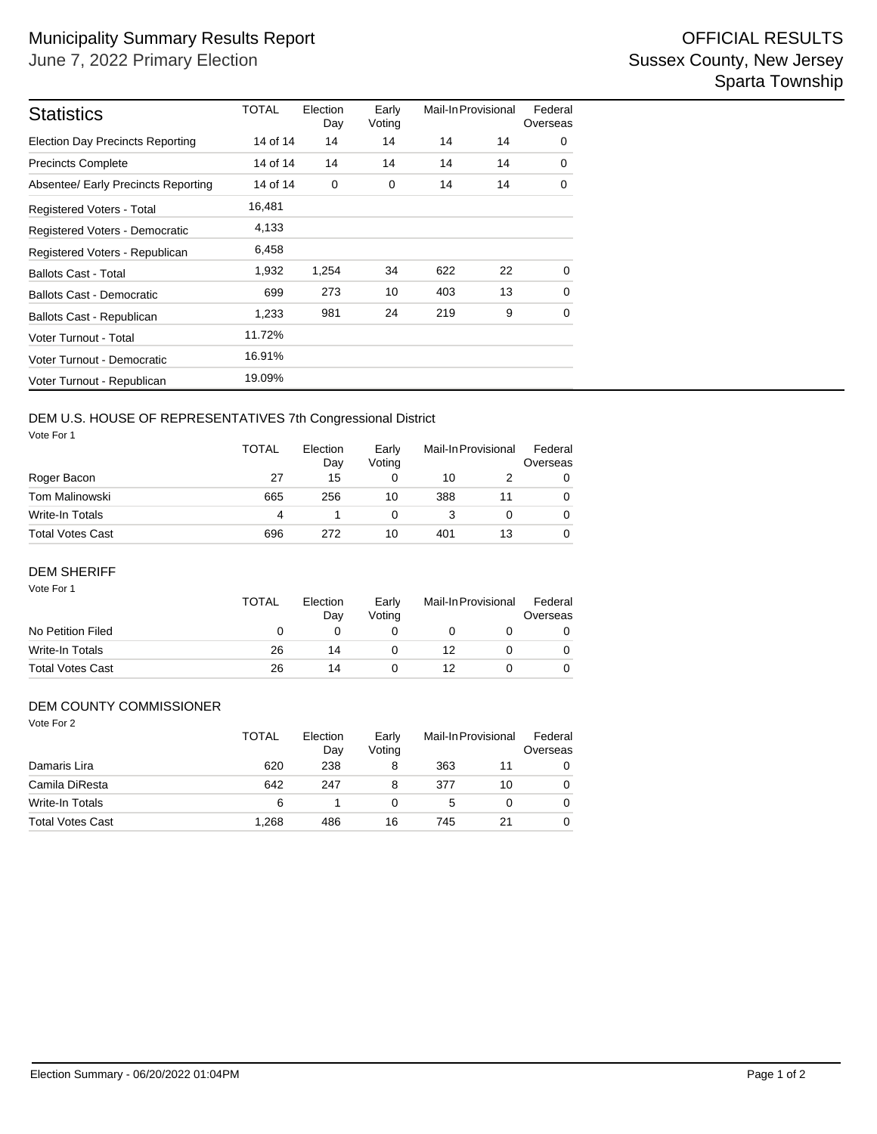| <b>Statistics</b>                       | TOTAL    | Election<br>Day | Early<br>Voting | Mail-In Provisional |    | Federal<br>Overseas |
|-----------------------------------------|----------|-----------------|-----------------|---------------------|----|---------------------|
| <b>Election Day Precincts Reporting</b> | 14 of 14 | 14              | 14              | 14                  | 14 | 0                   |
| <b>Precincts Complete</b>               | 14 of 14 | 14              | 14              | 14                  | 14 | 0                   |
| Absentee/ Early Precincts Reporting     | 14 of 14 | 0               | 0               | 14                  | 14 | 0                   |
| Registered Voters - Total               | 16,481   |                 |                 |                     |    |                     |
| Registered Voters - Democratic          | 4,133    |                 |                 |                     |    |                     |
| Registered Voters - Republican          | 6,458    |                 |                 |                     |    |                     |
| <b>Ballots Cast - Total</b>             | 1,932    | 1,254           | 34              | 622                 | 22 | $\Omega$            |
| <b>Ballots Cast - Democratic</b>        | 699      | 273             | 10              | 403                 | 13 | $\Omega$            |
| Ballots Cast - Republican               | 1,233    | 981             | 24              | 219                 | 9  | 0                   |
| Voter Turnout - Total                   | 11.72%   |                 |                 |                     |    |                     |
| Voter Turnout - Democratic              | 16.91%   |                 |                 |                     |    |                     |
| Voter Turnout - Republican              | 19.09%   |                 |                 |                     |    |                     |

### DEM U.S. HOUSE OF REPRESENTATIVES 7th Congressional District

Vote For 1

| <b>VUUU</b> 1 UI 1      | <b>TOTAL</b> | Election<br>Day | Early<br>Votina | Mail-In Provisional |  | Federal<br>Overseas |  |
|-------------------------|--------------|-----------------|-----------------|---------------------|--|---------------------|--|
| Roger Bacon             | 27           | 15              |                 | 10                  |  | 0                   |  |
| Tom Malinowski          | 665          | 256             | 10              | 388                 |  | 0                   |  |
| Write-In Totals         | 4            |                 |                 |                     |  | 0                   |  |
| <b>Total Votes Cast</b> | 696          | 272             | 10              | 401                 |  |                     |  |

#### DEM SHERIFF

| Vote For 1              | <b>TOTAL</b> | Election<br>Day | Early<br>Votina | Mail-In Provisional | Federal<br>Overseas |
|-------------------------|--------------|-----------------|-----------------|---------------------|---------------------|
| No Petition Filed       | O            |                 |                 |                     | O                   |
| Write-In Totals         | 26           | 14              |                 | 12                  |                     |
| <b>Total Votes Cast</b> | 26           | 14              |                 | 12                  |                     |

### DEM COUNTY COMMISSIONER

| Vote For 2              |              |                 |                 |                     |    |                     |
|-------------------------|--------------|-----------------|-----------------|---------------------|----|---------------------|
|                         | <b>TOTAL</b> | Election<br>Day | Early<br>Votina | Mail-In Provisional |    | Federal<br>Overseas |
| Damaris Lira            | 620          | 238             | 8               | 363                 | 11 | 0                   |
| Camila DiResta          | 642          | 247             | 8               | 377                 | 10 | 0                   |
| Write-In Totals         | 6            |                 | 0               | 5                   |    | 0                   |
| <b>Total Votes Cast</b> | 1.268        | 486             | 16              | 745                 | 21 | 0                   |